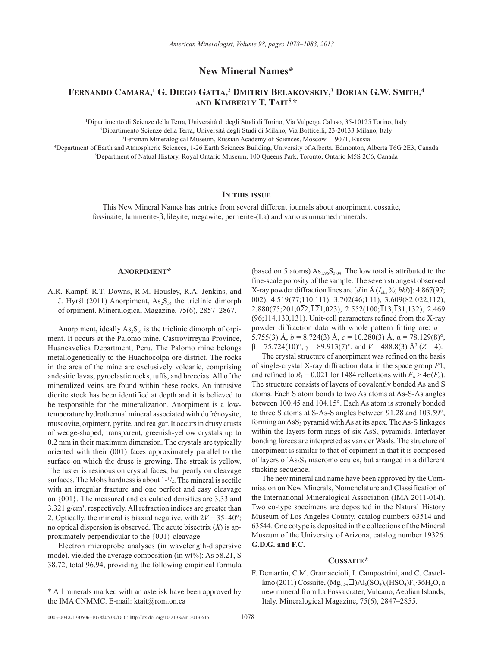**New Mineral Names\***

# **Fernando Camara, 1 G. Diego Gatta, <sup>2</sup> Dmitriy Belakovskiy, <sup>3</sup> Dorian G.W. Smith, 4 and Kimberly T. Tait5,\***

1 Dipartimento di Scienze della Terra, Università di degli Studi di Torino, Via Valperga Caluso, 35-10125 Torino, Italy 2 Dipartimento Scienze della Terra, Università degli Studi di Milano, Via Botticelli, 23-20133 Milano, Italy 3 Fersman Mineralogical Museum, Russian Academy of Sciences, Moscow 119071, Russia

4 Department of Earth and Atmospheric Sciences, 1-26 Earth Sciences Building, University of Alberta, Edmonton, Alberta T6G 2E3, Canada 5 Department of Natual History, Royal Ontario Museum, 100 Queens Park, Toronto, Ontario M5S 2C6, Canada

## **In this issue**

This New Mineral Names has entries from several different journals about anorpiment, cossaite, fassinaite, lammerite-b, lileyite, megawite, perrierite-(La) and various unnamed minerals.

#### **Anorpiment\***

A.R. Kampf, R.T. Downs, R.M. Housley, R.A. Jenkins, and J. Hyršl (2011) Anorpiment,  $As_2S_3$ , the triclinic dimorph of orpiment. Mineralogical Magazine, 75(6), 2857–2867.

Anorpiment, ideally  $As_2S_3$ , is the triclinic dimorph of orpiment. It occurs at the Palomo mine, Castrovirreyna Province, Huancavelica Department, Peru. The Palomo mine belongs metallogenetically to the Huachocolpa ore district. The rocks in the area of the mine are exclusively volcanic, comprising andesitic lavas, pyroclastic rocks, tuffs, and breccias. All of the mineralized veins are found within these rocks. An intrusive diorite stock has been identified at depth and it is believed to be responsible for the mineralization. Anorpiment is a lowtemperature hydrothermal mineral associated with dufrénoysite, muscovite, orpiment, pyrite, and realgar. It occurs in drusy crusts of wedge-shaped, transparent, greenish-yellow crystals up to 0.2 mm in their maximum dimension. The crystals are typically oriented with their (001) faces approximately parallel to the surface on which the druse is growing. The streak is yellow. The luster is resinous on crystal faces, but pearly on cleavage surfaces. The Mohs hardness is about  $1-\frac{1}{2}$ . The mineral is sectile with an irregular fracture and one perfect and easy cleavage on {001}. The measured and calculated densities are 3.33 and 3.321 g/cm3 , respectively. All refraction indices are greater than 2. Optically, the mineral is biaxial negative, with  $2V = 35-40^{\circ}$ ; no optical dispersion is observed. The acute bisectrix (*X*) is approximately perpendicular to the {001} cleavage.

Electron microprobe analyses (in wavelength-dispersive mode), yielded the average composition (in wt%): As 58.21, S 38.72, total 96.94, providing the following empirical formula (based on 5 atoms)  $As<sub>1.96</sub>S<sub>3.04</sub>$ . The low total is attributed to the fine-scale porosity of the sample. The seven strongest observed X-ray powder diffraction lines are  $\left[d \text{ in } A \left(I_{\text{obs}}\%; h k l\right)\right]$ : 4.867(97; 002),  $4.519(77;110,11\overline{1})$ ,  $3.702(46;\overline{1}\overline{1}1)$ ,  $3.609(82;022,1\overline{1}2)$ ,  $2.880(75;201,0\overline{2}2,\overline{1}\overline{2}1,023)$ ,  $2.552(100;\overline{1}13,\overline{1}31,132)$ ,  $2.469$  $(96;114,130,1\overline{3}1)$ . Unit-cell parameters refined from the X-ray powder diffraction data with whole pattern fitting are: *a* = 5.755(3) Å,  $b = 8.724(3)$  Å,  $c = 10.280(3)$  Å,  $\alpha = 78.129(8)$ °,  $\beta$  = 75.724(10)°,  $\gamma$  = 89.913(7)°, and *V* = 488.8(3) Å<sup>3</sup> (*Z* = 4).

The crystal structure of anorpiment was refined on the basis of single-crystal X-ray diffraction data in the space group  $\overline{PI}$ , and refined to  $R_1 = 0.021$  for 1484 reflections with  $F_0 > 4\sigma(F_0)$ . The structure consists of layers of covalently bonded As and S atoms. Each S atom bonds to two As atoms at As-S-As angles between 100.45 and 104.15°. Each As atom is strongly bonded to three S atoms at S-As-S angles between 91.28 and 103.59°, forming an  $\text{AsS}_3$  pyramid with As at its apex. The As-S linkages within the layers form rings of six  $\text{AsS}_3$  pyramids. Interlayer bonding forces are interpreted as van der Waals. The structure of anorpiment is similar to that of orpiment in that it is composed of layers of  $As_2S_3$  macromolecules, but arranged in a different stacking sequence.

The new mineral and name have been approved by the Commission on New Minerals, Nomenclature and Classification of the International Mineralogical Association (IMA 2011-014). Two co-type specimens are deposited in the Natural History Museum of Los Angeles County, catalog numbers 63514 and 63544. One cotype is deposited in the collections of the Mineral Museum of the University of Arizona, catalog number 19326. **G.D.G. and F.C.**

#### **Cossaite\***

F. Demartin, C.M. Gramaccioli, I. Campostrini, and C. Castellano (2011) Cossaite, (Mg<sub>0.5</sub>,□)Al<sub>6</sub>(SO<sub>4</sub>)<sub>6</sub>(HSO<sub>4</sub>)F<sub>6</sub>⋅36H<sub>2</sub>O, a new mineral from La Fossa crater, Vulcano, Aeolian Islands, Italy. Mineralogical Magazine, 75(6), 2847–2855.

<sup>\*</sup> All minerals marked with an asterisk have been approved by the IMA CNMMC. E-mail: ktait@rom.on.ca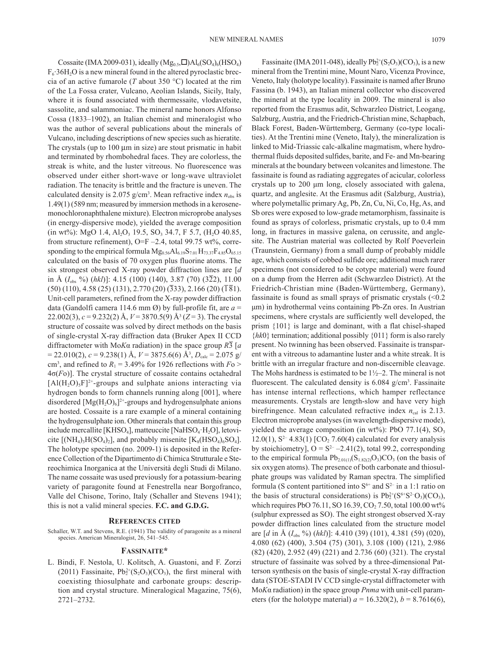Cossaite (IMA 2009-031), ideally  $(Mg_{0.5},\Box)Al_6(SO_4)_6(HSO_4)$ F6∙36H2O is a new mineral found in the altered pyroclastic breccia of an active fumarole (*T* about 350 °C) located at the rim of the La Fossa crater, Vulcano, Aeolian Islands, Sicily, Italy, where it is found associated with thermessaite, vlodavetsite, sassolite, and salammoniac. The mineral name honors Alfonso Cossa (1833–1902), an Italian chemist and mineralogist who was the author of several publications about the minerals of Vulcano, including descriptions of new species such as hieratite. The crystals (up to  $100 \mu m$  in size) are stout prismatic in habit and terminated by rhombohedral faces. They are colorless, the streak is white, and the luster vitreous. No fluorescence was observed under either short-wave or long-wave ultraviolet radiation. The tenacity is brittle and the fracture is uneven. The calculated density is 2.075  $g/cm^3$ . Mean refractive index  $n_{obs}$  is 1.49(1) (589 nm; measured by immersion methods in a kerosenemonochloronaphthalene mixture). Electron microprobe analyses (in energy-dispersive mode), yielded the average composition  $(in wt\%)$ : MgO 1.4, Al<sub>2</sub>O<sub>3</sub> 19.5, SO<sub>3</sub> 34.7, F 5.7, (H<sub>2</sub>O 40.85, from structure refinement), O=F  $-2.4$ , total 99.75 wt%, corresponding to the empirical formula  $Mg_{0.56}Al_{6.19}S_{7.01}H_{73.37}F_{4.85}O_{65.15}$ calculated on the basis of 70 oxygen plus fluorine atoms. The six strongest observed X-ray powder diffraction lines are [*d*  in Å (*I*obs %) (*hkl*)]: 4.15 (100) (140), 3.87 (70) (322), 11.00  $(50)$  (110), 4.58 (25) (131), 2.770 (20) (333), 2.166 (20) ( $\overline{181}$ ). Unit-cell parameters, refined from the X-ray powder diffraction data (Gandolfi camera 114.6 mm Ø) by full-profile fit, are *a* = 22.002(3), *c* = 9.232(2) Å, *V* = 3870.5(9) Å3 (*Z* = 3). The crystal structure of cossaite was solved by direct methods on the basis of single-crystal X-ray diffraction data (Bruker Apex II CCD diffractometer with Mo*K*α radiation) in the space group *R*3 [*a*  $= 22.010(2), c = 9.238(1)$  Å,  $V = 3875.6(6)$  Å<sup>3</sup>,  $D_{\text{calc}} = 2.075$  g/ cm<sup>3</sup>, and refined to  $R_1 = 3.49\%$  for 1926 reflections with  $F_0 >$ 4σ(*F*o)]. The crystal structure of cossaite contains octahedral  $[A1(H<sub>2</sub>O)<sub>5</sub>F]<sup>2+</sup>$ -groups and sulphate anions interacting via hydrogen bonds to form channels running along [001], where disordered  $[Mg(H_2O)_6]^{2+}$ -groups and hydrogensulphate anions are hosted. Cossaite is a rare example of a mineral containing the hydrogensulphate ion. Other minerals that contain this group include mercallite [KHSO<sub>4</sub>], matteuccite [NaHSO<sub>4</sub>·H<sub>2</sub>O], letovicite  $[(NH_4)_3H(SO_4)_2]$ , and probably misenite  $[K_8(HSO_4)_6SO_4]$ . The holotype specimen (no. 2009-1) is deposited in the Reference Collection of the Dipartimento di Chimica Strutturale e Stereochimica Inorganica at the Università degli Studi di Milano. The name cossaite was used previously for a potassium-bearing variety of paragonite found at Fenestrella near Borgofranco, Valle del Chisone, Torino, Italy (Schaller and Stevens 1941); this is not a valid mineral species. **F.C. and G.D.G.**

#### **References cited**

Schaller, W.T. and Stevens, R.E. (1941) The validity of paragonite as a mineral species. American Mineralogist, 26, 541–545.

#### **Fassinaite\***

L. Bindi, F. Nestola, U. Kolitsch, A. Guastoni, and F. Zorzi (2011) Fassinaite,  $Pb_2^{2+}(S_2O_3)(CO_3)$ , the first mineral with coexisting thiosulphate and carbonate groups: description and crystal structure. Mineralogical Magazine, 75(6), 2721–2732.

Fassinaite (IMA 2011-048), ideally  $Pb_2^2(S_2O_3)(CO_3)$ , is a new mineral from the Trentini mine, Mount Naro, Vicenza Province, Veneto, Italy (holotype locality). Fassinaite is named after Bruno Fassina (b. 1943), an Italian mineral collector who discovered the mineral at the type locality in 2009. The mineral is also reported from the Erasmus adit, Schwarzleo District, Leogang, Salzburg, Austria, and the Friedrich-Christian mine, Schapbach, Black Forest, Baden-Württemberg, Germany (co-type localities). At the Trentini mine (Veneto, Italy), the mineralization is linked to Mid-Triassic calc-alkaline magmatism, where hydrothermal fluids deposited sulfides, barite, and Fe- and Mn-bearing minerals at the boundary between volcanites and limestone. The fassinaite is found as radiating aggregates of acicular, colorless crystals up to 200 μm long, closely associated with galena, quartz, and anglesite. At the Erasmus adit (Salzburg, Austria), where polymetallic primary Ag, Pb, Zn, Cu, Ni, Co, Hg, As, and Sb ores were exposed to low-grade metamorphism, fassinaite is found as sprays of colorless, prismatic crystals, up to 0.4 mm long, in fractures in massive galena, on cerussite, and anglesite. The Austrian material was collected by Rolf Poeverlein (Traunstein, Germany) from a small dump of probably middle age, which consists of cobbed sulfide ore; additional much rarer specimens (not considered to be cotype material) were found on a dump from the Herren adit (Schwarzleo District). At the Friedrich-Christian mine (Baden-Württemberg, Germany), fassinaite is found as small sprays of prismatic crystals  $\leq 0.2$ μm) in hydrothermal veins containing Pb-Zn ores. In Austrian specimens, where crystals are sufficiently well developed, the prism {101} is large and dominant, with a flat chisel-shaped {*hk*0} termination; additional possibly {011} form is also rarely present. No twinning has been observed. Fassinaite is transparent with a vitreous to adamantine luster and a white streak. It is brittle with an irregular fracture and non-discernible cleavage. The Mohs hardness is estimated to be  $1\frac{1}{2}$ –2. The mineral is not fluorescent. The calculated density is  $6.084$  g/cm<sup>3</sup>. Fassinaite has intense internal reflections, which hamper reflectance measurements. Crystals are length-slow and have very high birefringence. Mean calculated refractive index  $n_{\text{cal}}$  is 2.13. Electron microprobe analyses (in wavelength-dispersive mode), yielded the average composition (in wt%): PbO 77.1(4),  $SO<sub>3</sub>$ 12.0(1),  $S^{2-}$  4.83(1)  $[CO_2$  7.60(4) calculated for every analysis by stoichiometry],  $O = S^{2-} - 2.41(2)$ , total 99.2, corresponding to the empirical formula  $Pb_{2.01(1)}(S_{1.82(2)}O_3)CO_3$  (on the basis of six oxygen atoms). The presence of both carbonate and thiosulphate groups was validated by Raman spectra. The simplified formula (S content partitioned into  $S^{6+}$  and  $S^{2-}$  in a 1:1 ratio on the basis of structural considerations) is  $Pb_2^{2+}(S^{6+}S^{2-}O_3)(CO_3)$ , which requires PbO 76.11, SO 16.39, CO<sub>2</sub> 7.50, total 100.00 wt% (sulphur expressed as SO). The eight strongest observed X-ray powder diffraction lines calculated from the structure model are [*d* in Å (*I*obs %) (*hkl*)]: 4.410 (39) (101), 4.381 (59) (020), 4.080 (62) (400), 3.504 (75) (301), 3.108 (100) (121), 2.986 (82) (420), 2.952 (49) (221) and 2.736 (60) (321). The crystal structure of fassinaite was solved by a three-dimensional Patterson synthesis on the basis of single-crystal X-ray diffraction data (STOE-STADI IV CCD single-crystal diffractometer with Mo*K*α radiation) in the space group *Pnma* with unit-cell parameters (for the holotype material)  $a = 16.320(2)$ ,  $b = 8.7616(6)$ ,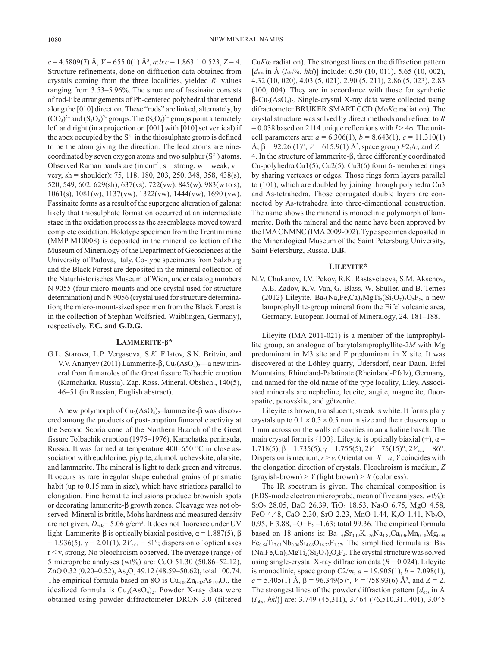*c* = 4.5809(7) Å, *V* = 655.0(1) Å3 , *a*:*b*:*c* = 1.863:1:0.523, *Z* = 4. Structure refinements, done on diffraction data obtained from crystals coming from the three localities, yielded  $R_1$  values ranging from 3.53–5.96%. The structure of fassinaite consists of rod-like arrangements of Pb-centered polyhedral that extend along the [010] direction. These "rods" are linked, alternately, by  $(CO_3)^2$  and  $(S_2O_3)^2$  groups. The  $(S_2O_3)^2$  groups point alternately left and right (in a projection on [001] with [010] set vertical) if the apex occupied by the  $S^2$  in the thiosulphate group is defined to be the atom giving the direction. The lead atoms are ninecoordinated by seven oxygen atoms and two sulphur  $(S^2)$  atoms. Observed Raman bands are (in cm<sup>-1</sup>, s = strong, w = weak, v = very, sh = shoulder): 75, 118, 180, 203, 250, 348, 358, 438(s), 520, 549, 602, 629(sh), 637(vs), 722(vw), 845(w), 983(w to s), 1061(s), 1081(w), 1137(vw), 1322(vw), 1444(vw), 1690 (vw). Fassinaite forms as a result of the supergene alteration of galena: likely that thiosulphate formation occurred at an intermediate stage in the oxidation process as the assemblages moved toward complete oxidation. Holotype specimen from the Trentini mine (MMP M10008) is deposited in the mineral collection of the Museum of Mineralogy of the Department of Geosciences at the University of Padova, Italy. Co-type specimens from Salzburg and the Black Forest are deposited in the mineral collection of the Naturhistorisches Museum of Wien, under catalog numbers N 9055 (four micro-mounts and one crystal used for structure determination) and N 9056 (crystal used for structure determination; the micro-mount-sized specimen from the Black Forest is in the collection of Stephan Wolfsried, Waiblingen, Germany), respectively. **F.C. and G.D.G.**

## **Lammerite-β\***

G.L. Starova, L.P. Vergasova, S.*К.* Filatov, S.N. Britvin, and V.V. Ananyev (2011) Lammerite- $\beta$ , Cu<sub>3</sub>(AsO<sub>4</sub>)<sub>2</sub>—a new mineral from fumaroles of the Great fissure Tolbachic eruption (Kamchatka, Russia). Zap. Ross. Mineral. Obshch., 140(5), 46–51 (in Russian, English abstract).

A new polymorph of  $Cu_3(AsO_4)_2$ –lammerite- $\beta$  was discovered among the products of post-eruption fumarolic activity at the Second Scoria cone of the Northern Branch of the Great fissure Tolbachik eruption (1975–1976), Kamchatka peninsula, Russia. It was formed at temperature 400–650 °C in close association with euchlorine, piypite, alumokluchevskite, alarsite, and lammerite. The mineral is light to dark green and vitreous. It occurs as rare irregular shape euhedral grains of prismatic habit (up to 0.15 mm in size), which have striations parallel to elongation. Fine hematite inclusions produce brownish spots or decorating lammerite- $\beta$  growth zones. Cleavage was not observed. Mineral is brittle, Mohs hardness and measured density are not given.  $D_{\text{calc}} = 5.06 \text{ g/cm}^3$ . It does not fluoresce under UV light. Lammerite-β is optically biaxial positive,  $\alpha$  = 1.887(5), β  $= 1.936(5)$ , γ = 2.01(1), 2*V*<sub>calc</sub> = 81°; dispersion of optical axes r < v, strong. No pleochroism observed. The average (range) of 5 microprobe analyses (wt%) are: CuO 51.30 (50.86–52.12), ZnO 0.32 (0.20–0.52), As<sub>2</sub>O<sub>3</sub> 49.12 (48.59–50.62), total 100.74. The empirical formula based on 8O is  $Cu_{3.00}Zn_{0.02}As_{1.99}O_8$ , the idealized formula is  $Cu<sub>3</sub>(AsO<sub>4</sub>)<sub>2</sub>$ . Powder X-ray data were obtained using powder diffractometer DRON-3.0 (filtered

 $CuKa<sub>1</sub>$  radiation). The strongest lines on the diffraction pattern [ $d_{\text{obs}}$  in Å ( $I_{\text{obs}}$ %, *hkl*)] include: 6.50 (10, 011), 5.65 (10, 002), 4.32 (10, 020), 4.03 (5, 021), 2.90 (5, 211), 2.86 (5, 023), 2.83 (100, 004). They are in accordance with those for synthetic  $\beta$ -Cu<sub>3</sub>(AsO<sub>4</sub>)<sub>2</sub>. Single-crystal X-ray data were collected using difractometer BRUKER SMART CCD (Mo*K*α radiation). The crystal structure was solved by direct methods and refined to *R*   $= 0.038$  based on 2114 unique reflections with  $I > 4\sigma$ . The unitcell parameters are:  $a = 6.306(1)$ ,  $b = 8.643(1)$ ,  $c = 11.310(1)$  $\hat{A}$ ,  $\beta$  = 92.26 (1)°,  $V$  = 615.9(1)  $\hat{A}$ <sup>3</sup>, space group  $P2_1/c$ , and  $Z$  = 4. In the structure of lammerite-b, three differently coordinated Cu-polyhedra Cu1(5), Cu2(5), Cu3(6) form 6-membered rings by sharing vertexes or edges. Those rings form layers parallel to (101), which are doubled by joining through polyhedra Cu3 and As-tetrahedra. Those corrugated double layers are connected by As-tetrahedra into three-dimentional construction. The name shows the mineral is monoclinic polymorph of lammerite. Both the mineral and the name have been approved by the IMA CNMNC (IMA 2009-002). Type specimen deposited in the Mineralogical Museum of the Saint Petersburg University, Saint Petersburg, Russia. **D.B.**

#### **Lileyite\***

N.V. Chukanov, I.V. Pekov, R.K. Rastsvetaeva, S.M. Aksenov, A.E. Zadov, K.V. Van, G. Blass, W. Shüller, and B. Ternes (2012) Lileyite,  $Ba_2(Na,Fe,Ca)$ ,  $MgTi_2(Si,O_7)$ ,  $O_2F_2$ , a new lamprophyllite-group mineral from the Eifel volcanic area, Germany. European Journal of Mineralogy, 24, 181–188.

Lileyite (IMA 2011-021) is a member of the lamprophyllite group, an analogue of barytolamprophyllite-2*M* with Mg predominant in M3 site and F predominant in X site. It was discovered at the Löhley quarry, Üdersdorf, near Daun, Eifel Mountains, Rhineland-Palatinate (Rheinland-Pfalz), Germany, and named for the old name of the type locality, Liley. Associated minerals are nepheline, leucite, augite, magnetite, fluorapatite, perovskite, and götzenite.

Lileyite is brown, translucent; streak is white. It forms platy crystals up to  $0.1 \times 0.3 \times 0.5$  mm in size and their clusters up to 1 mm across on the walls of cavities in an alkaline basalt. The main crystal form is  $\{100\}$ . Lileyite is optically biaxial (+),  $\alpha$  = 1.718(5), β = 1.735(5),  $\gamma$  = 1.755(5), 2*V* = 75(15)°, 2*V*<sub>calc</sub> = 86°. Dispersion is medium,  $r > v$ . Orientation:  $X = a$ ; *Y* coincides with the elongation direction of crystals. Pleochroism is medium, *Z*  $(grayish-brown) > Y$  (light brown)  $> X$  (colorless).

The IR spectrum is given. The chemical composition is (EDS-mode electron microprobe, mean of five analyses, wt%):  $SiO<sub>2</sub>$  28.05, BaO 26.39, TiO<sub>2</sub> 18.53, Na<sub>2</sub>O 6.75, MgO 4.58, FeO 4.48, CaO 2.30, SrO 2.23, MnO 1.44, K<sub>2</sub>O 1.41, Nb<sub>2</sub>O<sub>5</sub> 0.95, F 3.88,  $-O=F_2 - 1.63$ ; total 99.36. The empirical formula based on 18 anions is:  $Ba_{1.50}Sr_{0.19}K_{0.26}Na_{1.89}Ca_{0.36}Mn_{0.18}Mg_{0.99}$  $Fe_{0.54}Ti_{2.01}Nb_{0.06}Si_{4.06}O_{16.23}F_{1.77}$ . The simplified formula is: Ba<sub>2</sub>  $(Na,Fe,Ca)_{3}MgTi_{2}(Si_{2}O_{7})_{2}O_{2}F_{2}$ . The crystal structure was solved using single-crystal X-ray diffraction data  $(R = 0.024)$ . Lileyite is monoclinic, space group  $C2/m$ ,  $a = 19.905(1)$ ,  $b = 7.098(1)$ ,  $c = 5.405(1)$  Å,  $\beta = 96.349(5)$ °,  $V = 758.93(6)$  Å<sup>3</sup>, and  $Z = 2$ . The strongest lines of the powder diffraction pattern  $[d_{obs}$  in  $\AA$ (*I*obs, *hkl*)] are: 3.749 (45,311), 3.464 (76,510,311,401), 3.045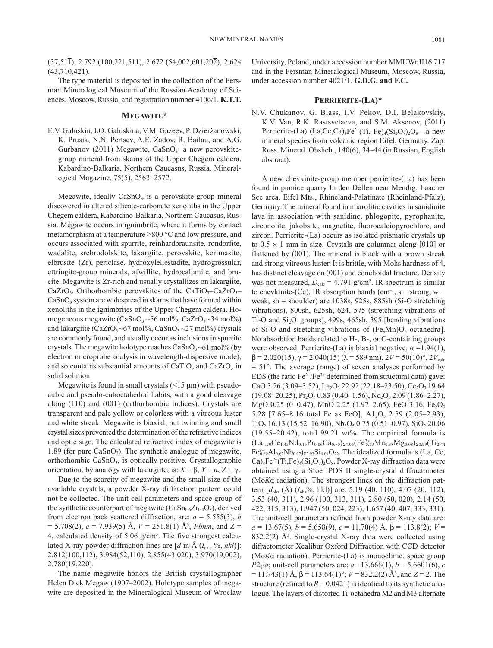$(37,51\bar{1})$ , 2.792  $(100,221,511)$ , 2.672  $(54,002,601,20\bar{2})$ , 2.624  $(43,710,42\overline{1})$ .

The type material is deposited in the collection of the Fersman Mineralogical Museum of the Russian Academy of Sciences, Moscow, Russia, and registration number 4106/1. **K.T.T.**

#### **Megawite\***

E.V. Galuskin, I.O. Galuskina, V.M. Gazeev, P. Dzierżanowski, K. Prusik, N.N. Pertsev, A.E. Zadov, R. Bailau, and A.G. Gurbanov (2011) Megawite,  $CaSnO<sub>3</sub>$ : a new perovskitegroup mineral from skarns of the Upper Chegem caldera, Kabardino-Balkaria, Northern Caucasus, Russia. Mineralogical Magazine, 75(5), 2563–2572.

Megawite, ideally  $CaSnO<sub>3</sub>$ , is a perovskite-group mineral discovered in altered silicate-carbonate xenoliths in the Upper Chegem caldera, Kabardino-Balkaria, Northern Caucasus, Russia. Megawite occurs in ignimbrite, where it forms by contact metamorphism at a temperature >800 °C and low pressure, and occurs associated with spurrite, reinhardbraunsite, rondorfite, wadalite, srebrodolskite, lakargiite, perovskite, kerimasite, elbrusite–(Zr), periclase, hydroxylellestadite, hydrogrossular, ettringite-group minerals, afwillite, hydrocalumite, and brucite. Megawite is Zr-rich and usually crystallizes on lakargiite, CaZrO<sub>3</sub>. Orthorhombic perovskites of the CaTiO<sub>3</sub>–CaZrO<sub>3</sub>–  $CaSnO<sub>3</sub>$  system are widespread in skarns that have formed within xenoliths in the ignimbrites of the Upper Chegem caldera. Homogeneous megawite  $(CaSnO<sub>3</sub>~56 mol\% , CaZrO<sub>3</sub>~34 mol\%)$ and lakargiite (CaZrO<sub>3</sub> $\sim$ 67 mol%, CaSnO<sub>3</sub> $\sim$ 27 mol%) crystals are commonly found, and usually occur as inclusions in spurrite crystals. The megawite holotype reaches  $CaSnO<sub>3</sub>~61$  mol% (by electron microprobe analysis in wavelength-dispersive mode), and so contains substantial amounts of  $CaTiO<sub>3</sub>$  and  $CaZrO<sub>3</sub>$  in solid solution.

Megawite is found in small crystals  $(\leq 15 \mu m)$  with pseudocubic and pseudo-cuboctahedral habits, with a good cleavage along (110) and (001) (orthorhombic indices). Crystals are transparent and pale yellow or colorless with a vitreous luster and white streak. Megawite is biaxial, but twinning and small crystal sizes prevented the determination of the refractive indices and optic sign. The calculated refractive index of megawite is 1.89 (for pure  $CaSnO<sub>3</sub>$ ). The synthetic analogue of megawite, orthorhombic CaSnO3, is optically positive. Crystallographic orientation, by analogy with lakargiite, is:  $X = \beta$ ,  $Y = \alpha$ ,  $Z = \gamma$ .

Due to the scarcity of megawite and the small size of the available crystals, a powder X-ray diffraction pattern could not be collected. The unit-cell parameters and space group of the synthetic counterpart of megawite ( $CaSn<sub>0.6</sub>Zr<sub>0.4</sub>O<sub>3</sub>$ ), derived from electron back scattered diffraction, are:  $a = 5.555(3)$ , *b*  $= 5.708(2)$ ,  $c = 7.939(5)$  Å,  $V = 251.8(1)$  Å<sup>3</sup>, *Pbnm*, and  $Z =$ 4, calculated density of  $5.06$  g/cm<sup>3</sup>. The five strongest calculated X-ray powder diffraction lines are  $[d$  in  $\AA$  ( $I_{\text{calc}}$  %, *hkl*)]: 2.812(100,112), 3.984(52,110), 2.855(43,020), 3.970(19,002), 2.780(19,220).

The name megawite honors the British crystallographer Helen Dick Megaw (1907–2002). Holotype samples of megawite are deposited in the Mineralogical Museum of Wrocław University, Poland, under accession number MMUWr II16 717 and in the Fersman Mineralogical Museum, Moscow, Russia, under accession number 4021/1. **G.D.G. and F.C.**

# **Perrierite-(La)\***

N.V. Chukanov, G. Blass, I.V. Pekov, D.I. Belakovskiy, K.V. Van, R.K*.* Rastsvetaeva, and S.M. Aksenov, (2011) Perrierite-(La)  $(La, Ce, Ca)_{4}Fe^{2+}(Ti, Fe)_{4}(Si<sub>2</sub>O<sub>7</sub>)_{2}O_{8}$ —a new mineral species from volcanic region Eifel, Germany. Zap. Ross. Mineral. Obshch., 140(6), 34–44 (in Russian, English abstract).

A new chevkinite-group member perrierite-(La) has been found in pumice quarry In den Dellen near Mendig, Laacher See area, Eifel Mts., Rhineland-Palatinate (Rheinland-Pfalz), Germany. The mineral found in miarolitic cavities in sanidinite lava in association with sanidine, phlogopite, pyrophanite, zirconoiite, jakobsite, magnetite, fluorocalciopyrochlore, and zircon. Perrierite-(La) occurs as isolated prismatic crystals up to  $0.5 \times 1$  mm in size. Crystals are columnar along [010] or flattened by (001). The mineral is black with a brown streak and strong vitreous luster. It is brittle, with Mohs hardness of 4, has distinct cleavage on (001) and conchoidal fracture. Density was not measured,  $D_{\text{calc}} = 4.791$  g/cm<sup>3</sup>. IR spectrum is similar to chevkinite-(Ce). IR absorption bands (cm<sup>-1</sup>, s = strong,  $w =$ weak, sh = shoulder) are 1038s, 925s, 885sh (Si-О stretching vibrations), 800sh, 625sh, 624, 575 (stretching vibrations of Ti-O and  $Si<sub>2</sub>O<sub>7</sub>$  groups), 499s, 465sh, 395 [bending vibrations of Si-O and stretching vibrations of  $(Fe, Mn)O_6$  octahedra]. No absorbtion bands related to H-, В-, or С-containing groups were observed. Perrierite-(La) is biaxial negative,  $\alpha = 1.94(1)$ ,  $β = 2.020(15)$ , γ = 2.040(15) (λ = 589 nm), 2*V* = 50(10)°, 2*V*<sub>calc</sub> = 51°. The average (range) of seven analyses performed by EDS (the ratio  $Fe^{2+}/Fe^{3+}$  determined from structural data) gave: CaO 3.26 (3.09–3.52), La<sub>2</sub>O<sub>3</sub> 22.92 (22.18–23.50), Ce<sub>2</sub>O<sub>3</sub> 19.64  $(19.08-20.25)$ , Pr<sub>2</sub>O<sub>3</sub> 0.83 (0.40-1.56), Nd<sub>2</sub>O<sub>3</sub> 2.09 (1.86-2.27), MgO 0.25 (0-0.47), MnO 2.25 (1.97-2.65), FeO 3.16, Fe<sub>2</sub>O<sub>3</sub> 5.28 [7.65–8.16 total Fe as FeO],  $A1_2O_3$  2.59 (2.05–2.93),  $TiO<sub>2</sub> 16.13 (15.52–16.90), Nb<sub>2</sub>O<sub>5</sub> 0.75 (0.51–0.97), SiO<sub>2</sub> 20.06$  $(19.55-20.42)$ , total 99.21 wt%. The empirical formula is  $(\text{La}_{1,70}\text{Ce}_{1.45}\text{Nd}_{0.15}\text{Pr}_{0.06}\text{Ca}_{0.70})_{\Sigma 4.06}(\text{Fe}_{0.53}^{2+}\text{Mn}_{0.38}\text{Mg}_{0.08})_{\Sigma 0.99}(\text{Ti}_{2.44})$  $Fe^{3+}_{0.80}Al_{0.62}Nb_{0.07}$ )<sub>23.93</sub>Si<sub>4.04</sub>O<sub>22</sub>. The idealized formula is (La, Ce,  $Ca)_{4}Fe^{2+}(Ti,Fe)_{4}(Si_2O_7)_2O_8$ . Powder X-ray diffraction data were obtained using a Stoe IPDS II single-crystal diffractometer (Mo*K*α radiation). The strongest lines on the diffraction pattern  $[d_{obs}(\text{Å}) (I_{obs}\%, \text{hkl})]$  are: 5.19 (40, 110), 4.07 (20, 112), 3.53 (40, 311), 2.96 (100, 313, 311), 2.80 (50, 020), 2.14 (50, 422, 315, 313), 1.947 (50, 024, 223), 1.657 (40, 407, 333, 331). The unit-cell parameters refined from powder X-ray data are:  $a = 13.67(5)$ ,  $b = 5.658(9)$ ,  $c = 11.70(4)$  Å,  $\beta = 113.8(2)$ ;  $V =$  $832.2(2)$  Å<sup>3</sup>. Single-crystal X-ray data were collected using difractometer Xcalibur Oxford Diffraction with CCD detector (Mo*K*α radiation). Perrierite-(La) is monoclinic, space group *P*2<sub>1</sub>/*a*; unit-cell parameters are: *a* =13.668(1), *b* = 5.6601(6), *c*  $= 11.743(1)$  Å,  $\beta = 113.64(1)$ °;  $V = 832.2(2)$  Å<sup>3</sup>, and  $Z = 2$ . The structure (refined to  $R = 0.0421$ ) is identical to its synthetic analogue. The layers of distorted Ti-octahedra M2 and M3 alternate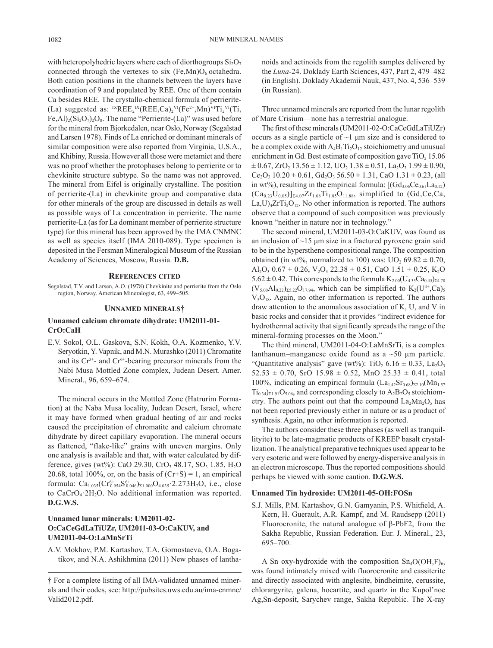with heteropolyhedric layers where each of diorthogroups  $Si<sub>2</sub>O<sub>7</sub>$ connected through the vertexes to six  $(Fe, Mn)O<sub>6</sub>$  octahedra. Both cation positions in the channels between the layers have coordination of 9 and populated by REE. One of them contain Ca besides REE. The crystallo-chemical formula of perrierite- (La) suggested as:  ${}^{IX}REE_2{}^{IX} (REE, Ca)_2{}^{VI} (Fe^{2+}, Mn)^{VI} Ti_2{}^{VI} (Ti,$ Fe,Al $D_2(S_i, O_7)$ , $O_8$ . The name "Perrierite-(La)" was used before for the mineral from Bjorkedalen, near Oslo, Norway (Segalstad and Larsen 1978). Finds of La enriched or dominant minerals of similar composition were also reported from Virginia, U.S.A., and Khibiny, Russia. However all those were metamict and there was no proof whether the protophases belong to perrierite or to chevkinite structure subtype. So the name was not approved. The mineral from Eifel is originally crystalline. The position of perrierite-(La) in chevkinite group and comparative data for other minerals of the group are discussed in details as well as possible ways of La concentration in perrierite. The name perrierite-La (as for La dominant member of perrierite structure type) for this mineral has been approved by the IMA CNMNC as well as species itself (IMA 2010-089). Type specimen is deposited in the Fersman Mineralogical Museum of the Russian Academy of Sciences, Moscow, Russia. **D.B.**

### **References cited**

Segalstad, T.V. and Larsen, A.O. (1978) Chevkinite and perrierite from the Oslo region, Norway. American Mineralogist, 63, 499–505.

## **Unnamed minerals†**

## **Unnamed calcium chromate dihydrate: UM2011-01- CrO:CaH**

E.V. Sokol, O.L. Gaskova, S.N. Kokh, O.A. Kozmenko, Y.V. Seryotkin, Y. Vapnik, and M.N. Murashko (2011) Chromatite and its  $Cr^{3+}$ - and  $Cr^{6+}$ -bearing precursor minerals from the Nabi Musa Mottled Zone complex, Judean Desert. Amer. Mineral., 96, 659–674.

The mineral occurs in the Mottled Zone (Hatrurim Formation) at the Naba Musa locality, Judean Desert, Israel, where it may have formed when gradual heating of air and rocks caused the precipitation of chromatite and calcium chromate dihydrate by direct capillary evaporation. The mineral occurs as flattened, "flake-like" grains with uneven margins. Only one analysis is available and that, with water calculated by difference, gives (wt%): CaO 29.30, CrO<sub>3</sub> 48.17, SO<sub>3</sub> 1.85, H<sub>2</sub>O 20.68, total 100%, or, on the basis of  $(Cr+S) = 1$ , an empirical formula:  $Ca_{1.035}(Cr_{0.954}^{6+}S_{0.046}^{6+})_{\Sigma1.000}O_{4.035}\cdot 2.273H_2O$ , i.e., close to  $CaCrO<sub>4</sub>·2H<sub>2</sub>O$ . No additional information was reported. **D.G.W.S.**

## **Unnamed lunar minerals: UM2011-02- O:CaCeGdLaTiUZr, UM2011-03-O:CaKUV, and UM2011-04-O:LaMnSrTi**

A.V. Mokhov, P.M. Kartashov, T.A. Gornostaeva, O.A. Bogatikov, and N.A. Ashikhmina (2011) New phases of lanthanoids and actinoids from the regolith samples delivered by the *Luna*-24. Doklady Earth Sciences, 437, Part 2, 479–482 (in English). Doklady Akademii Nauk, 437, No. 4, 536–539 (in Russian).

Three unnamed minerals are reported from the lunar regolith of Mare Crisium—none has a terrestrial analogue.

The first of these minerals (UM2011-02-O:CaCeGdLaTiUZr) occurs as a single particle of  $\sim$ 1  $\mu$ m size and is considered to be a complex oxide with  $A_4B_1Ti_2O_{12}$  stoichiometry and unusual enrichment in Gd. Best estimate of composition gave  $TiO<sub>2</sub> 15.06$  $\pm$  0.67, ZrO<sub>2</sub> 13.56  $\pm$  1.12, UO<sub>2</sub> 1.38  $\pm$  0.51, La<sub>2</sub>O<sub>3</sub> 1.99  $\pm$  0.90,  $Ce<sub>2</sub>O<sub>3</sub> 10.20 \pm 0.61$ ,  $Gd<sub>2</sub>O<sub>3</sub> 56.50 \pm 1.31$ , CaO  $1.31 \pm 0.23$ , (all in wt%), resulting in the empirical formula:  $[(Gd_{3.06}Ce_{0.61}La_{0.12})$  $(Ca_{0.23}U_{0.05})|_{\Sigma4.07}Zr_{1.08}Ti_{1.85}O_{11.88}$ , simplified to (Gd,Ce,Ca,  $La, U$ <sub>4</sub> $ZrTi<sub>2</sub>O<sub>12</sub>$ . No other information is reported. The authors observe that a compound of such composition was previously known "neither in nature nor in technology."

The second mineral, UM2011-03-O:CaKUV, was found as an inclusion of  $\sim$ 15 µm size in a fractured pyroxene grain said to be in the hypersthene compositional range. The composition obtained (in wt%, normalized to 100) was:  $UO<sub>2</sub> 69.82 \pm 0.70$ , Al<sub>2</sub>O<sub>3</sub> 0.67  $\pm$  0.26, V<sub>2</sub>O<sub>3</sub> 22.38  $\pm$  0.51, CaO 1.51  $\pm$  0.25, K<sub>2</sub>O  $5.62 \pm 0.42$ . This corresponds to the formula  $K_{2.00}(U_{4.33}Ca_{0.45})_{\Sigma4.78}$  $(V_{5.00}Al_{0.22})_{\Sigma 5.22}O_{17.94}$ , which can be simplified to  $K_2(U^{4+}, Ca)_5$  $V<sub>5</sub>O<sub>18</sub>$ . Again, no other information is reported. The authors draw attention to the anomalous association of K, U, and V in basic rocks and consider that it provides "indirect evidence for hydrothermal activity that significantly spreads the range of the mineral-forming processes on the Moon."

The third mineral, UM2011-04-O:LaMnSrTi, is a complex lanthanum–manganese oxide found as a  $\sim$  50  $\mu$ m particle. "Quantitative analysis" gave (wt%): TiO<sub>2</sub> 6.16  $\pm$  0.33, La<sub>2</sub>O<sub>3</sub>  $52.53 \pm 0.70$ , SrO  $15.98 \pm 0.52$ , MnO  $25.33 \pm 0.41$ , total 100%, indicating an empirical formula  $(La_{1.42}Sr_{0.68})_{\Sigma2.10}(Mn_{1.57})$  $Ti_{0.34}$ <sub> $\Sigma1.91$ </sub> $O_{5.06}$ , and corresponding closely to  $A_2B_2O_5$  stoichiometry. The authors point out that the compound  $La<sub>2</sub>Mn<sub>2</sub>O<sub>5</sub>$  has not been reported previously either in nature or as a product of synthesis. Again, no other information is reported.

The authors consider these three phases (as well as tranquillityite) to be late-magmatic products of KREEP basalt crystallization. The analytical preparative techniques used appear to be very esoteric and were followed by energy-dispersive analysis in an electron microscope. Thus the reported compositions should perhaps be viewed with some caution. **D.G.W.S.**

## **Unnamed Tin hydroxide: UM2011-05-OH:FOSn**

S.J. Mills, P.M. Kartashov, G.N. Gamyanin, P.S. Whitfield, A. Kern, H. Guerault, A.R. Kampf, and M. Raudsepp (2011) Fluorocronite, the natural analogue of β-PbF2, from the Sakha Republic, Russian Federation. Eur. J. Mineral., 23, 695–700.

A Sn oxy-hydroxide with the composition  $Sn_4O(OH,F)_6$ , was found intimately mixed with fluorocronite and cassiterite and directly associated with anglesite, bindheimite, cerussite, chlorargyrite, galena, hocartite, and quartz in the Kupol'noe Ag,Sn-deposit, Sarychev range, Sakha Republic. The X-ray

<sup>†</sup> For a complete listing of all IMA-validated unnamed minerals and their codes, see: http://pubsites.uws.edu.au/ima-cnmnc/ Valid2012.pdf.